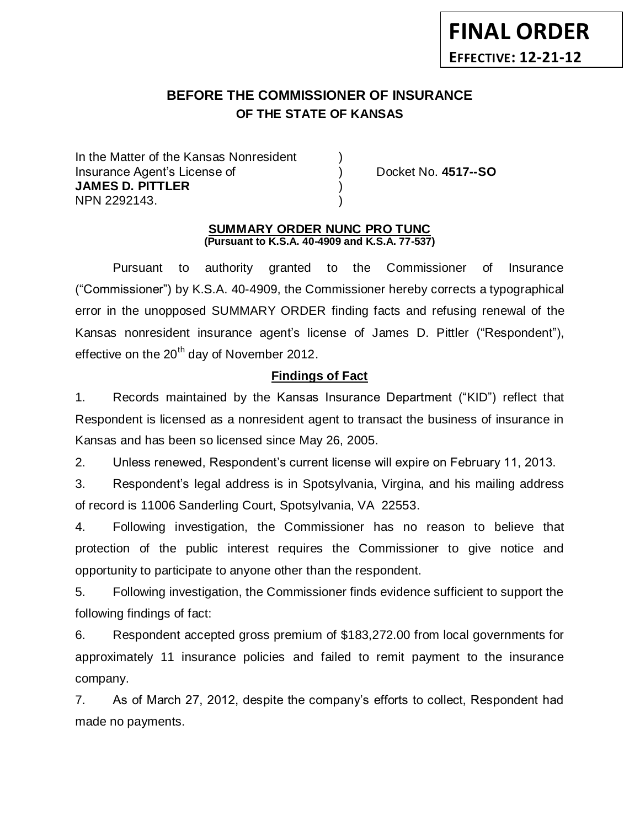## **BEFORE THE COMMISSIONER OF INSURANCE OF THE STATE OF KANSAS** *-12*

In the Matter of the Kansas Nonresident Insurance Agent's License of ) Docket No. **4517--SO JAMES D. PITTLER** ) NPN 2292143.

#### **SUMMARY ORDER NUNC PRO TUNC (Pursuant to K.S.A. 40-4909 and K.S.A. 77-537)**

Pursuant to authority granted to the Commissioner of Insurance ("Commissioner") by K.S.A. 40-4909, the Commissioner hereby corrects a typographical error in the unopposed SUMMARY ORDER finding facts and refusing renewal of the Kansas nonresident insurance agent's license of James D. Pittler ("Respondent"), effective on the 20<sup>th</sup> day of November 2012.

# **Findings of Fact**

1. Records maintained by the Kansas Insurance Department ("KID") reflect that Respondent is licensed as a nonresident agent to transact the business of insurance in Kansas and has been so licensed since May 26, 2005.

2. Unless renewed, Respondent's current license will expire on February 11, 2013.

3. Respondent's legal address is in Spotsylvania, Virgina, and his mailing address of record is 11006 Sanderling Court, Spotsylvania, VA 22553.

4. Following investigation, the Commissioner has no reason to believe that protection of the public interest requires the Commissioner to give notice and opportunity to participate to anyone other than the respondent.

5. Following investigation, the Commissioner finds evidence sufficient to support the following findings of fact:

6. Respondent accepted gross premium of \$183,272.00 from local governments for approximately 11 insurance policies and failed to remit payment to the insurance company.

7. As of March 27, 2012, despite the company's efforts to collect, Respondent had made no payments.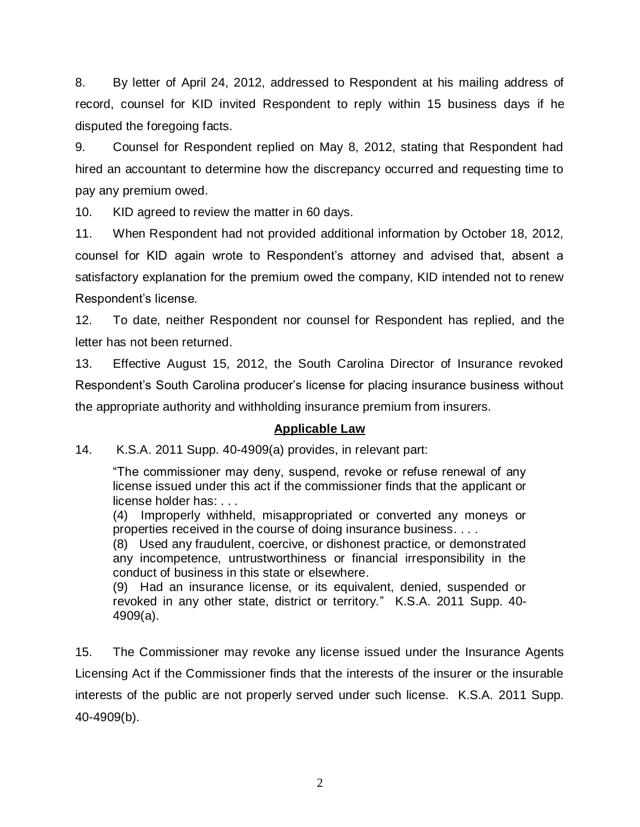8. By letter of April 24, 2012, addressed to Respondent at his mailing address of record, counsel for KID invited Respondent to reply within 15 business days if he disputed the foregoing facts.

9. Counsel for Respondent replied on May 8, 2012, stating that Respondent had hired an accountant to determine how the discrepancy occurred and requesting time to pay any premium owed.

10. KID agreed to review the matter in 60 days.

11. When Respondent had not provided additional information by October 18, 2012, counsel for KID again wrote to Respondent's attorney and advised that, absent a satisfactory explanation for the premium owed the company, KID intended not to renew Respondent's license.

12. To date, neither Respondent nor counsel for Respondent has replied, and the letter has not been returned.

13. Effective August 15, 2012, the South Carolina Director of Insurance revoked Respondent's South Carolina producer's license for placing insurance business without the appropriate authority and withholding insurance premium from insurers.

## **Applicable Law**

14. K.S.A. 2011 Supp. 40-4909(a) provides, in relevant part:

"The commissioner may deny, suspend, revoke or refuse renewal of any license issued under this act if the commissioner finds that the applicant or license holder has: . . .

(4) Improperly withheld, misappropriated or converted any moneys or properties received in the course of doing insurance business. . . .

(8) Used any fraudulent, coercive, or dishonest practice, or demonstrated any incompetence, untrustworthiness or financial irresponsibility in the conduct of business in this state or elsewhere.

(9) Had an insurance license, or its equivalent, denied, suspended or revoked in any other state, district or territory." K.S.A. 2011 Supp. 40- 4909(a).

15. The Commissioner may revoke any license issued under the Insurance Agents Licensing Act if the Commissioner finds that the interests of the insurer or the insurable interests of the public are not properly served under such license. K.S.A. 2011 Supp. 40-4909(b).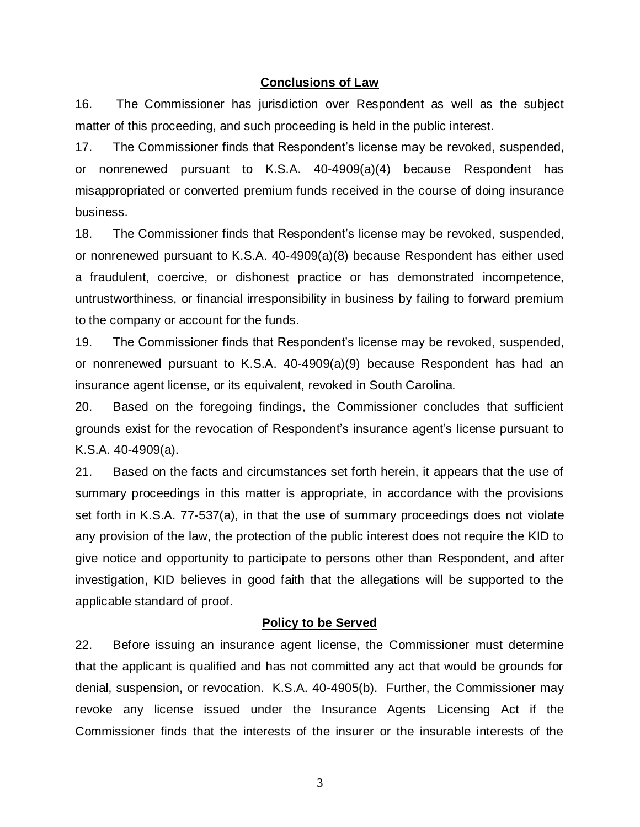#### **Conclusions of Law**

16. The Commissioner has jurisdiction over Respondent as well as the subject matter of this proceeding, and such proceeding is held in the public interest.

17. The Commissioner finds that Respondent's license may be revoked, suspended, or nonrenewed pursuant to K.S.A. 40-4909(a)(4) because Respondent has misappropriated or converted premium funds received in the course of doing insurance business.

18. The Commissioner finds that Respondent's license may be revoked, suspended, or nonrenewed pursuant to K.S.A. 40-4909(a)(8) because Respondent has either used a fraudulent, coercive, or dishonest practice or has demonstrated incompetence, untrustworthiness, or financial irresponsibility in business by failing to forward premium to the company or account for the funds.

19. The Commissioner finds that Respondent's license may be revoked, suspended, or nonrenewed pursuant to K.S.A. 40-4909(a)(9) because Respondent has had an insurance agent license, or its equivalent, revoked in South Carolina.

20. Based on the foregoing findings, the Commissioner concludes that sufficient grounds exist for the revocation of Respondent's insurance agent's license pursuant to K.S.A. 40-4909(a).

21. Based on the facts and circumstances set forth herein, it appears that the use of summary proceedings in this matter is appropriate, in accordance with the provisions set forth in K.S.A. 77-537(a), in that the use of summary proceedings does not violate any provision of the law, the protection of the public interest does not require the KID to give notice and opportunity to participate to persons other than Respondent, and after investigation, KID believes in good faith that the allegations will be supported to the applicable standard of proof.

#### **Policy to be Served**

22. Before issuing an insurance agent license, the Commissioner must determine that the applicant is qualified and has not committed any act that would be grounds for denial, suspension, or revocation. K.S.A. 40-4905(b). Further, the Commissioner may revoke any license issued under the Insurance Agents Licensing Act if the Commissioner finds that the interests of the insurer or the insurable interests of the

3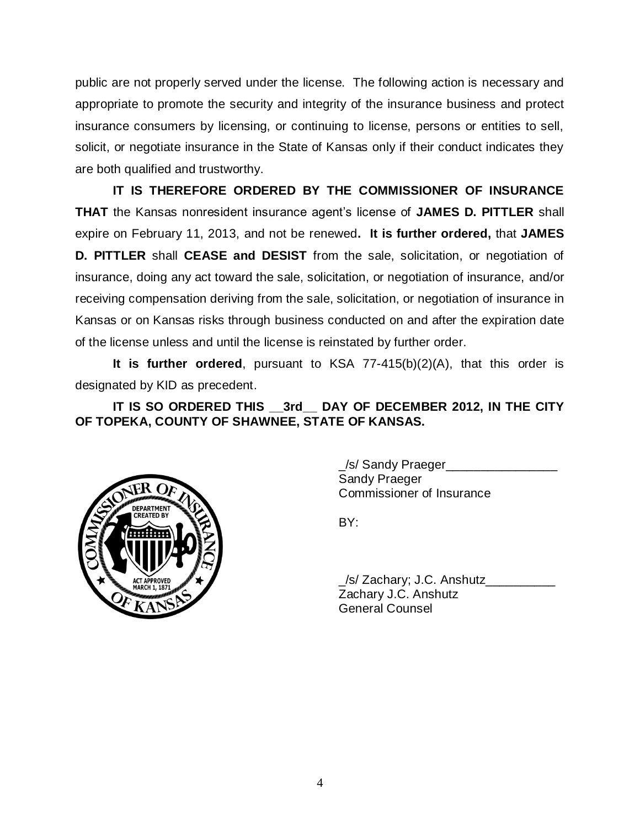public are not properly served under the license. The following action is necessary and appropriate to promote the security and integrity of the insurance business and protect insurance consumers by licensing, or continuing to license, persons or entities to sell, solicit, or negotiate insurance in the State of Kansas only if their conduct indicates they are both qualified and trustworthy.

**IT IS THEREFORE ORDERED BY THE COMMISSIONER OF INSURANCE THAT** the Kansas nonresident insurance agent's license of **JAMES D. PITTLER** shall expire on February 11, 2013, and not be renewed**. It is further ordered,** that **JAMES D. PITTLER** shall **CEASE and DESIST** from the sale, solicitation, or negotiation of insurance, doing any act toward the sale, solicitation, or negotiation of insurance, and/or receiving compensation deriving from the sale, solicitation, or negotiation of insurance in Kansas or on Kansas risks through business conducted on and after the expiration date of the license unless and until the license is reinstated by further order.

**It is further ordered**, pursuant to KSA 77-415(b)(2)(A), that this order is designated by KID as precedent.

# **IT IS SO ORDERED THIS \_\_3rd\_\_ DAY OF DECEMBER 2012, IN THE CITY OF TOPEKA, COUNTY OF SHAWNEE, STATE OF KANSAS.**



\_/s/ Sandy Praeger\_\_\_\_\_\_\_\_\_\_\_\_\_\_\_\_ Sandy Praeger Commissioner of Insurance

BY:

\_/s/ Zachary; J.C. Anshutz\_\_\_\_\_\_\_\_\_\_ Zachary J.C. Anshutz General Counsel